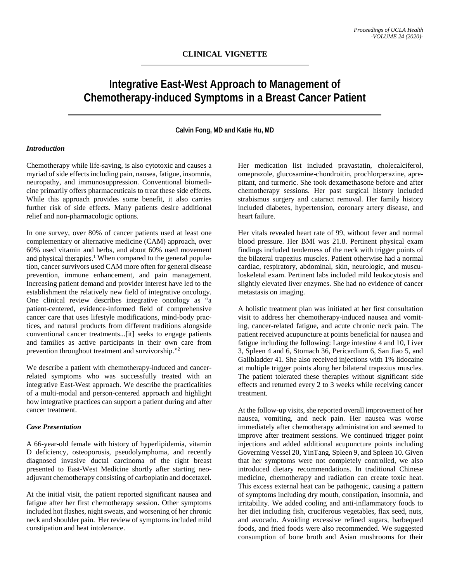# **Integrative East-West Approach to Management of Chemotherapy-induced Symptoms in a Breast Cancer Patient**

**Calvin Fong, MD and Katie Hu, MD**

### *Introduction*

Chemotherapy while life-saving, is also cytotoxic and causes a myriad of side effects including pain, nausea, fatigue, insomnia, neuropathy, and immunosuppression. Conventional biomedicine primarily offers pharmaceuticals to treat these side effects. While this approach provides some benefit, it also carries further risk of side effects. Many patients desire additional relief and non-pharmacologic options.

In one survey, over 80% of cancer patients used at least one complementary or alternative medicine (CAM) approach, over 60% used vitamin and herbs, and about 60% used movement and physical therapies.<sup>1</sup> When compared to the general population, cancer survivors used CAM more often for general disease prevention, immune enhancement, and pain management. Increasing patient demand and provider interest have led to the establishment the relatively new field of integrative oncology. One clinical review describes integrative oncology as "a patient-centered, evidence-informed field of comprehensive cancer care that uses lifestyle modifications, mind-body practices, and natural products from different traditions alongside conventional cancer treatments...[it] seeks to engage patients and families as active participants in their own care from prevention throughout treatment and survivorship."2

We describe a patient with chemotherapy-induced and cancerrelated symptoms who was successfully treated with an integrative East-West approach. We describe the practicalities of a multi-modal and person-centered approach and highlight how integrative practices can support a patient during and after cancer treatment.

#### *Case Presentation*

A 66-year-old female with history of hyperlipidemia, vitamin D deficiency, osteoporosis, pseudolymphoma, and recently diagnosed invasive ductal carcinoma of the right breast presented to East-West Medicine shortly after starting neoadjuvant chemotherapy consisting of carboplatin and docetaxel.

At the initial visit, the patient reported significant nausea and fatigue after her first chemotherapy session. Other symptoms included hot flashes, night sweats, and worsening of her chronic neck and shoulder pain. Her review of symptoms included mild constipation and heat intolerance.

Her medication list included pravastatin, cholecalciferol, omeprazole, glucosamine-chondroitin, prochlorperazine, aprepitant, and turmeric. She took dexamethasone before and after chemotherapy sessions. Her past surgical history included strabismus surgery and cataract removal. Her family history included diabetes, hypertension, coronary artery disease, and heart failure.

Her vitals revealed heart rate of 99, without fever and normal blood pressure. Her BMI was 21.8. Pertinent physical exam findings included tenderness of the neck with trigger points of the bilateral trapezius muscles. Patient otherwise had a normal cardiac, respiratory, abdominal, skin, neurologic, and musculoskeletal exam. Pertinent labs included mild leukocytosis and slightly elevated liver enzymes. She had no evidence of cancer metastasis on imaging.

A holistic treatment plan was initiated at her first consultation visit to address her chemotherapy-induced nausea and vomiting, cancer-related fatigue, and acute chronic neck pain. The patient received acupuncture at points beneficial for nausea and fatigue including the following: Large intestine 4 and 10, Liver 3, Spleen 4 and 6, Stomach 36, Pericardium 6, San Jiao 5, and Gallbladder 41. She also received injections with 1% lidocaine at multiple trigger points along her bilateral trapezius muscles. The patient tolerated these therapies without significant side effects and returned every 2 to 3 weeks while receiving cancer treatment.

At the follow-up visits, she reported overall improvement of her nausea, vomiting, and neck pain. Her nausea was worse immediately after chemotherapy administration and seemed to improve after treatment sessions. We continued trigger point injections and added additional acupuncture points including Governing Vessel 20, YinTang, Spleen 9, and Spleen 10. Given that her symptoms were not completely controlled, we also introduced dietary recommendations. In traditional Chinese medicine, chemotherapy and radiation can create toxic heat. This excess external heat can be pathogenic, causing a pattern of symptoms including dry mouth, constipation, insomnia, and irritability. We added cooling and anti-inflammatory foods to her diet including fish, cruciferous vegetables, flax seed, nuts, and avocado. Avoiding excessive refined sugars, barbequed foods, and fried foods were also recommended. We suggested consumption of bone broth and Asian mushrooms for their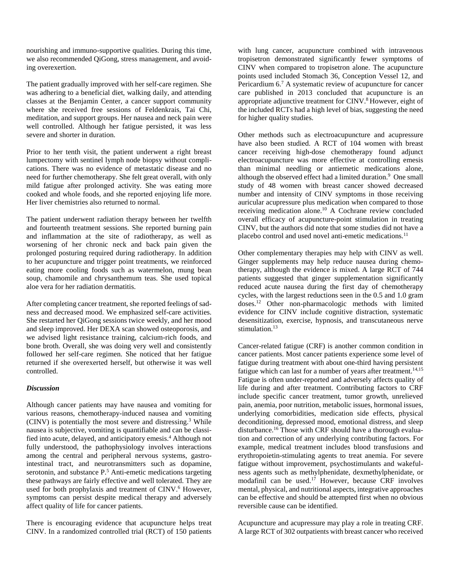nourishing and immuno-supportive qualities. During this time, we also recommended QiGong, stress management, and avoiding overexertion.

The patient gradually improved with her self-care regimen. She was adhering to a beneficial diet, walking daily, and attending classes at the Benjamin Center, a cancer support community where she received free sessions of Feldenkrais, Tai Chi, meditation, and support groups. Her nausea and neck pain were well controlled. Although her fatigue persisted, it was less severe and shorter in duration.

Prior to her tenth visit, the patient underwent a right breast lumpectomy with sentinel lymph node biopsy without complications. There was no evidence of metastatic disease and no need for further chemotherapy. She felt great overall, with only mild fatigue after prolonged activity. She was eating more cooked and whole foods, and she reported enjoying life more. Her liver chemistries also returned to normal.

The patient underwent radiation therapy between her twelfth and fourteenth treatment sessions. She reported burning pain and inflammation at the site of radiotherapy, as well as worsening of her chronic neck and back pain given the prolonged posturing required during radiotherapy. In addition to her acupuncture and trigger point treatments, we reinforced eating more cooling foods such as watermelon, mung bean soup, chamomile and chrysanthemum teas. She used topical aloe vera for her radiation dermatitis.

After completing cancer treatment, she reported feelings of sadness and decreased mood. We emphasized self-care activities. She restarted her QiGong sessions twice weekly, and her mood and sleep improved. Her DEXA scan showed osteoporosis, and we advised light resistance training, calcium-rich foods, and bone broth. Overall, she was doing very well and consistently followed her self-care regimen. She noticed that her fatigue returned if she overexerted herself, but otherwise it was well controlled.

#### *Discussion*

Although cancer patients may have nausea and vomiting for various reasons, chemotherapy-induced nausea and vomiting  $(CINV)$  is potentially the most severe and distressing.<sup>3</sup> While nausea is subjective, vomiting is quantifiable and can be classified into acute, delayed, and anticipatory emesis.<sup>4</sup> Although not fully understood, the pathophysiology involves interactions among the central and peripheral nervous systems, gastrointestinal tract, and neurotransmitters such as dopamine, serotonin, and substance P.<sup>5</sup> Anti-emetic medications targeting these pathways are fairly effective and well tolerated. They are used for both prophylaxis and treatment of CINV.<sup>6</sup> However, symptoms can persist despite medical therapy and adversely affect quality of life for cancer patients.

There is encouraging evidence that acupuncture helps treat CINV. In a randomized controlled trial (RCT) of 150 patients

with lung cancer, acupuncture combined with intravenous tropisetron demonstrated significantly fewer symptoms of CINV when compared to tropisetron alone. The acupuncture points used included Stomach 36, Conception Vessel 12, and Pericardium 6.<sup>7</sup> A systematic review of acupuncture for cancer care published in 2013 concluded that acupuncture is an appropriate adjunctive treatment for CINV.<sup>8</sup> However, eight of the included RCTs had a high level of bias, suggesting the need for higher quality studies.

Other methods such as electroacupuncture and acupressure have also been studied. A RCT of 104 women with breast cancer receiving high-dose chemotherapy found adjunct electroacupuncture was more effective at controlling emesis than minimal needling or antiemetic medications alone, although the observed effect had a limited duration.<sup>9</sup> One small study of 48 women with breast cancer showed decreased number and intensity of CINV symptoms in those receiving auricular acupressure plus medication when compared to those receiving medication alone.10 A Cochrane review concluded overall efficacy of acupuncture-point stimulation in treating CINV, but the authors did note that some studies did not have a placebo control and used novel anti-emetic medications.<sup>11</sup>

Other complementary therapies may help with CINV as well. Ginger supplements may help reduce nausea during chemotherapy, although the evidence is mixed. A large RCT of 744 patients suggested that ginger supplementation significantly reduced acute nausea during the first day of chemotherapy cycles, with the largest reductions seen in the 0.5 and 1.0 gram doses.12 Other non-pharmacologic methods with limited evidence for CINV include cognitive distraction, systematic desensitization, exercise, hypnosis, and transcutaneous nerve stimulation. $13$ 

Cancer-related fatigue (CRF) is another common condition in cancer patients. Most cancer patients experience some level of fatigue during treatment with about one-third having persistent fatigue which can last for a number of years after treatment.<sup>14,15</sup> Fatigue is often under-reported and adversely affects quality of life during and after treatment. Contributing factors to CRF include specific cancer treatment, tumor growth, unrelieved pain, anemia, poor nutrition, metabolic issues, hormonal issues, underlying comorbidities, medication side effects, physical deconditioning, depressed mood, emotional distress, and sleep disturbance.<sup>16</sup> Those with CRF should have a thorough evaluation and correction of any underlying contributing factors. For example, medical treatment includes blood transfusions and erythropoietin-stimulating agents to treat anemia. For severe fatigue without improvement, psychostimulants and wakefulness agents such as methylphenidate, dexmethylphenidate, or modafinil can be used.<sup>17</sup> However, because CRF involves mental, physical, and nutritional aspects, integrative approaches can be effective and should be attempted first when no obvious reversible cause can be identified.

Acupuncture and acupressure may play a role in treating CRF. A large RCT of 302 outpatients with breast cancer who received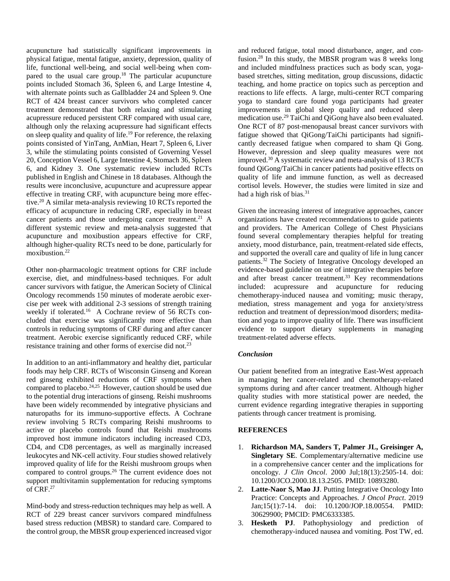acupuncture had statistically significant improvements in physical fatigue, mental fatigue, anxiety, depression, quality of life, functional well-being, and social well-being when compared to the usual care group.18 The particular acupuncture points included Stomach 36, Spleen 6, and Large Intestine 4, with alternate points such as Gallbladder 24 and Spleen 9. One RCT of 424 breast cancer survivors who completed cancer treatment demonstrated that both relaxing and stimulating acupressure reduced persistent CRF compared with usual care, although only the relaxing acupressure had significant effects on sleep quality and quality of life.19 For reference, the relaxing points consisted of YinTang, AnMian, Heart 7, Spleen 6, Liver 3, while the stimulating points consisted of Governing Vessel 20, Conception Vessel 6, Large Intestine 4, Stomach 36, Spleen 6, and Kidney 3. One systematic review included RCTs published in English and Chinese in 18 databases. Although the results were inconclusive, acupuncture and acupressure appear effective in treating CRF, with acupuncture being more effective.20 A similar meta-analysis reviewing 10 RCTs reported the efficacy of acupuncture in reducing CRF, especially in breast cancer patients and those undergoing cancer treatment.<sup>21</sup> A different systemic review and meta-analysis suggested that acupuncture and moxibustion appears effective for CRF, although higher-quality RCTs need to be done, particularly for moxibustion.<sup>22</sup>

Other non-pharmacologic treatment options for CRF include exercise, diet, and mindfulness-based techniques. For adult cancer survivors with fatigue, the American Society of Clinical Oncology recommends 150 minutes of moderate aerobic exercise per week with additional 2-3 sessions of strength training weekly if tolerated.<sup>16</sup> A Cochrane review of 56 RCTs concluded that exercise was significantly more effective than controls in reducing symptoms of CRF during and after cancer treatment. Aerobic exercise significantly reduced CRF, while resistance training and other forms of exercise did not.23

In addition to an anti-inflammatory and healthy diet, particular foods may help CRF. RCTs of Wisconsin Ginseng and Korean red ginseng exhibited reductions of CRF symptoms when compared to placebo.24,25 However, caution should be used due to the potential drug interactions of ginseng. Reishi mushrooms have been widely recommended by integrative physicians and naturopaths for its immuno-supportive effects. A Cochrane review involving 5 RCTs comparing Reishi mushrooms to active or placebo controls found that Reishi mushrooms improved host immune indicators including increased CD3, CD4, and CD8 percentages, as well as marginally increased leukocytes and NK-cell activity. Four studies showed relatively improved quality of life for the Reishi mushroom groups when compared to control groups.<sup>26</sup> The current evidence does not support multivitamin supplementation for reducing symptoms of CRF.27

Mind-body and stress-reduction techniques may help as well. A RCT of 229 breast cancer survivors compared mindfulness based stress reduction (MBSR) to standard care. Compared to the control group, the MBSR group experienced increased vigor

and reduced fatigue, total mood disturbance, anger, and confusion.28 In this study, the MBSR program was 8 weeks long and included mindfulness practices such as body scan, yogabased stretches, sitting meditation, group discussions, didactic teaching, and home practice on topics such as perception and reactions to life effects. A large, multi-center RCT comparing yoga to standard care found yoga participants had greater improvements in global sleep quality and reduced sleep medication use.29 TaiChi and QiGong have also been evaluated. One RCT of 87 post-menopausal breast cancer survivors with fatigue showed that QiGong/TaiChi participants had significantly decreased fatigue when compared to sham Qi Gong. However, depression and sleep quality measures were not improved.30 A systematic review and meta-analysis of 13 RCTs found QiGong/TaiChi in cancer patients had positive effects on quality of life and immune function, as well as decreased cortisol levels. However, the studies were limited in size and had a high risk of bias.<sup>31</sup>

Given the increasing interest of integrative approaches, cancer organizations have created recommendations to guide patients and providers. The American College of Chest Physicians found several complementary therapies helpful for treating anxiety, mood disturbance, pain, treatment-related side effects, and supported the overall care and quality of life in lung cancer patients.32 The Society of Integrative Oncology developed an evidence-based guideline on use of integrative therapies before and after breast cancer treatment.<sup>33</sup> Key recommendations included: acupressure and acupuncture for reducing chemotherapy-induced nausea and vomiting; music therapy, mediation, stress management and yoga for anxiety/stress reduction and treatment of depression/mood disorders; meditation and yoga to improve quality of life. There was insufficient evidence to support dietary supplements in managing treatment-related adverse effects.

## *Conclusion*

Our patient benefited from an integrative East-West approach in managing her cancer-related and chemotherapy-related symptoms during and after cancer treatment. Although higher quality studies with more statistical power are needed, the current evidence regarding integrative therapies in supporting patients through cancer treatment is promising.

## **REFERENCES**

- 1. **Richardson MA, Sanders T, Palmer JL, Greisinger A, Singletary SE**. Complementary/alternative medicine use in a comprehensive cancer center and the implications for oncology. *J Clin Oncol*. 2000 Jul;18(13):2505-14. doi: 10.1200/JCO.2000.18.13.2505. PMID: 10893280.
- 2. **Latte-Naor S, Mao JJ**. Putting Integrative Oncology Into Practice: Concepts and Approaches. *J Oncol Pract*. 2019 Jan;15(1):7-14. doi: 10.1200/JOP.18.00554. PMID: 30629900; PMCID: PMC6333385.
- 3. **Hesketh PJ**. Pathophysiology and prediction of chemotherapy-induced nausea and vomiting. Post TW, ed.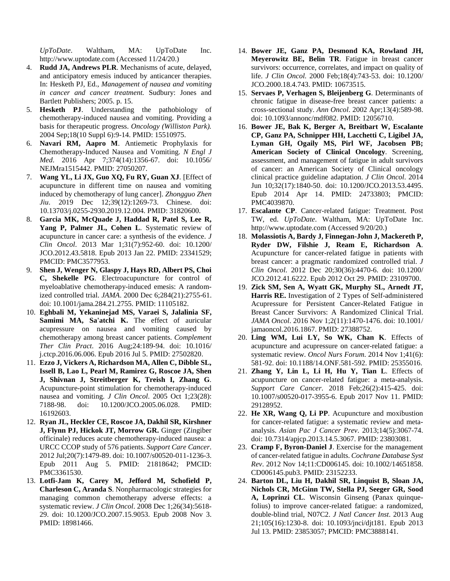*UpToDate*. Waltham, MA: UpToDate Inc. http://www.uptodate.com (Accessed 11/24/20.)

- 4. **Rudd JA, Andrews PLR**. Mechanisms of acute, delayed, and anticipatory emesis induced by anticancer therapies. In: Hesketh PJ, Ed., *Management of nausea and vomiting in cancer and cancer treatment.* Sudbury: Jones and Bartlett Publishers; 2005. p. 15.
- 5. **Hesketh PJ**. Understanding the pathobiology of chemotherapy-induced nausea and vomiting. Providing a basis for therapeutic progress. *Oncology (Williston Park).* 2004 Sep;18(10 Suppl 6):9-14. PMID: 15510975.
- 6. **Navari RM, Aapro M**. Antiemetic Prophylaxis for Chemotherapy-Induced Nausea and Vomiting. *N Engl J Med*. 2016 Apr 7;374(14):1356-67. doi: 10.1056/ NEJMra1515442. PMID: 27050207.
- 7. **Wang YL, Li JX, Guo XQ, Fu RY, Guan XJ**. [Effect of acupuncture in different time on nausea and vomiting induced by chemotherapy of lung cancer]. *Zhongguo Zhen Jiu*. 2019 Dec 12;39(12):1269-73. Chinese. doi: 10.13703/j.0255-2930.2019.12.004. PMID: 31820600.
- 8. **Garcia MK, McQuade J, Haddad R, Patel S, Lee R,**  Yang P, Palmer JL, Cohen L. Systematic review of acupuncture in cancer care: a synthesis of the evidence. *J Clin Oncol*. 2013 Mar 1;31(7):952-60. doi: 10.1200/ JCO.2012.43.5818. Epub 2013 Jan 22. PMID: 23341529; PMCID: PMC3577953.
- 9. **Shen J, Wenger N, Glaspy J, Hays RD, Albert PS, Choi C, Shekelle PG**. Electroacupuncture for control of myeloablative chemotherapy-induced emesis: A randomized controlled trial. *JAMA*. 2000 Dec 6;284(21):2755-61. doi: 10.1001/jama.284.21.2755. PMID: 11105182.
- 10. **Eghbali M, Yekaninejad MS, Varaei S, Jalalinia SF, Samimi MA, Sa'atchi K.** The effect of auricular acupressure on nausea and vomiting caused by chemotherapy among breast cancer patients. *Complement Ther Clin Pract*. 2016 Aug;24:189-94. doi: 10.1016/ j.ctcp.2016.06.006. Epub 2016 Jul 5. PMID: 27502820.
- 11. **Ezzo J, Vickers A, Richardson MA, Allen C, Dibble SL, Issell B, Lao L, Pearl M, Ramirez G, Roscoe JA, Shen J, Shivnan J, Streitberger K, Treish I, Zhang G**. Acupuncture-point stimulation for chemotherapy-induced nausea and vomiting. *J Clin Oncol*. 2005 Oct 1;23(28): 7188-98. doi: 10.1200/JCO.2005.06.028. PMID: 16192603.
- 12. **Ryan JL, Heckler CE, Roscoe JA, Dakhil SR, Kirshner J, Flynn PJ, Hickok JT, Morrow GR.** Ginger (Zingiber officinale) reduces acute chemotherapy-induced nausea: a URCC CCOP study of 576 patients. *Support Care Cancer*. 2012 Jul;20(7):1479-89. doi: 10.1007/s00520-011-1236-3. Epub 2011 Aug 5. PMID: 21818642; PMCID: PMC3361530.
- 13. **Lotfi-Jam K, Carey M, Jefford M, Schofield P, Charleson C, Aranda S**. Nonpharmacologic strategies for managing common chemotherapy adverse effects: a systematic review. *J Clin Oncol*. 2008 Dec 1;26(34):5618- 29. doi: 10.1200/JCO.2007.15.9053. Epub 2008 Nov 3. PMID: 18981466.
- 14. **Bower JE, Ganz PA, Desmond KA, Rowland JH, Meyerowitz BE, Belin TR**. Fatigue in breast cancer survivors: occurrence, correlates, and impact on quality of life. *J Clin Oncol.* 2000 Feb;18(4):743-53. doi: 10.1200/ JCO.2000.18.4.743. PMID: 10673515.
- 15. **Servaes P, Verhagen S, Bleijenberg G**. Determinants of chronic fatigue in disease-free breast cancer patients: a cross-sectional study. *Ann Oncol*. 2002 Apr;13(4):589-98. doi: 10.1093/annonc/mdf082. PMID: 12056710.
- 16. **Bower JE, Bak K, Berger A, Breitbart W, Escalante CP, Ganz PA, Schnipper HH, Lacchetti C, Ligibel JA, Lyman GH, Ogaily MS, Pirl WF, Jacobsen PB; American Society of Clinical Oncology**. Screening, assessment, and management of fatigue in adult survivors of cancer: an American Society of Clinical oncology clinical practice guideline adaptation. *J Clin Oncol*. 2014 Jun 10;32(17):1840-50. doi: 10.1200/JCO.2013.53.4495. Epub 2014 Apr 14. PMID: 24733803; PMCID: PMC4039870.
- 17. **Escalante CP**. Cancer-related fatigue: Treatment. Post TW, ed. *UpToDate*. Waltham, MA: UpToDate Inc. http://www.uptodate.com (Accessed 9/20/20.)
- 18. **Molassiotis A, Bardy J, Finnegan-John J, Mackereth P, Ryder DW, Filshie J, Ream E, Richardson A**. Acupuncture for cancer-related fatigue in patients with breast cancer: a pragmatic randomized controlled trial. *J Clin Oncol*. 2012 Dec 20;30(36):4470-6. doi: 10.1200/ JCO.2012.41.6222. Epub 2012 Oct 29. PMID: 23109700.
- 19. **Zick SM, Sen A, Wyatt GK, Murphy SL, Arnedt JT, Harris RE.** Investigation of 2 Types of Self-administered Acupressure for Persistent Cancer-Related Fatigue in Breast Cancer Survivors: A Randomized Clinical Trial. *JAMA Oncol*. 2016 Nov 1;2(11):1470-1476. doi: 10.1001/ jamaoncol.2016.1867. PMID: 27388752.
- 20. **Ling WM, Lui LY, So WK, Chan K**. Effects of acupuncture and acupressure on cancer-related fatigue: a systematic review. *Oncol Nurs Forum*. 2014 Nov 1;41(6): 581-92. doi: 10.1188/14.ONF.581-592. PMID: 25355016.
- 21. **Zhang Y, Lin L, Li H, Hu Y, Tian L**. Effects of acupuncture on cancer-related fatigue: a meta-analysis. *Support Care Cancer*. 2018 Feb;26(2):415-425. doi: 10.1007/s00520-017-3955-6. Epub 2017 Nov 11. PMID: 29128952.
- 22. **He XR, Wang Q, Li PP**. Acupuncture and moxibustion for cancer-related fatigue: a systematic review and metaanalysis. *Asian Pac J Cancer Prev*. 2013;14(5):3067-74. doi: 10.7314/apjcp.2013.14.5.3067. PMID: 23803081.
- 23. **Cramp F, Byron-Daniel J**. Exercise for the management of cancer-related fatigue in adults. *Cochrane Database Syst Rev*. 2012 Nov 14;11:CD006145. doi: 10.1002/14651858. CD006145.pub3. PMID: 23152233.
- 24. **Barton DL, Liu H, Dakhil SR, Linquist B, Sloan JA, Nichols CR, McGinn TW, Stella PJ, Seeger GR, Sood**  A. Loprinzi CL. Wisconsin Ginseng (Panax quinquefolius) to improve cancer-related fatigue: a randomized, double-blind trial, N07C2. *J Natl Cancer Inst*. 2013 Aug 21;105(16):1230-8. doi: 10.1093/jnci/djt181. Epub 2013 Jul 13. PMID: 23853057; PMCID: PMC3888141.